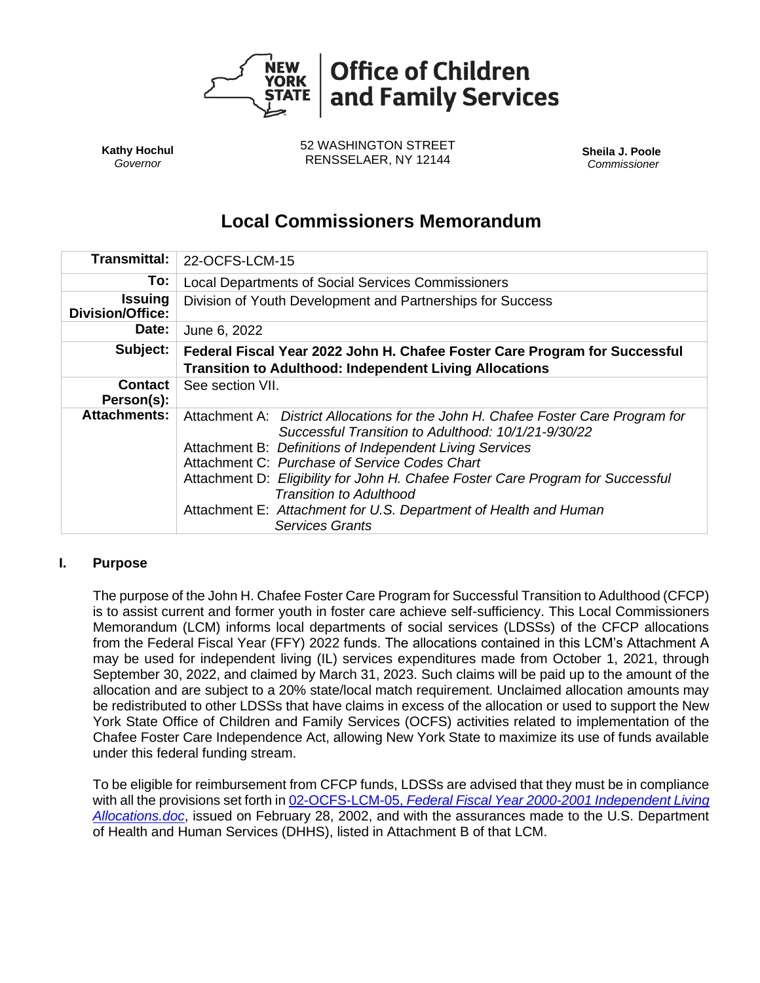

**Kathy Hochul** *Governor*

52 WASHINGTON STREET RENSSELAER, NY 12144 **Sheila J. Poole**

*Commissioner*

# **Local Commissioners Memorandum**

| <b>Transmittal:</b>                       | 22-OCFS-LCM-15                                                                                                                                                                                                                                                                                                                                                                                                                                                           |
|-------------------------------------------|--------------------------------------------------------------------------------------------------------------------------------------------------------------------------------------------------------------------------------------------------------------------------------------------------------------------------------------------------------------------------------------------------------------------------------------------------------------------------|
| To:                                       | Local Departments of Social Services Commissioners                                                                                                                                                                                                                                                                                                                                                                                                                       |
| <b>Issuing</b><br><b>Division/Office:</b> | Division of Youth Development and Partnerships for Success                                                                                                                                                                                                                                                                                                                                                                                                               |
| Date:                                     | June 6, 2022                                                                                                                                                                                                                                                                                                                                                                                                                                                             |
| Subject:                                  | Federal Fiscal Year 2022 John H. Chafee Foster Care Program for Successful                                                                                                                                                                                                                                                                                                                                                                                               |
|                                           | <b>Transition to Adulthood: Independent Living Allocations</b>                                                                                                                                                                                                                                                                                                                                                                                                           |
| <b>Contact</b><br>Person(s):              | See section VII.                                                                                                                                                                                                                                                                                                                                                                                                                                                         |
| <b>Attachments:</b>                       | Attachment A: District Allocations for the John H. Chafee Foster Care Program for<br>Successful Transition to Adulthood: 10/1/21-9/30/22<br>Attachment B: Definitions of Independent Living Services<br>Attachment C: Purchase of Service Codes Chart<br>Attachment D: Eligibility for John H. Chafee Foster Care Program for Successful<br><b>Transition to Adulthood</b><br>Attachment E: Attachment for U.S. Department of Health and Human<br><b>Services Grants</b> |

# **I. Purpose**

The purpose of the John H. Chafee Foster Care Program for Successful Transition to Adulthood (CFCP) is to assist current and former youth in foster care achieve self-sufficiency. This Local Commissioners Memorandum (LCM) informs local departments of social services (LDSSs) of the CFCP allocations from the Federal Fiscal Year (FFY) 2022 funds. The allocations contained in this LCM's Attachment A may be used for independent living (IL) services expenditures made from October 1, 2021, through September 30, 2022, and claimed by March 31, 2023. Such claims will be paid up to the amount of the allocation and are subject to a 20% state/local match requirement. Unclaimed allocation amounts may be redistributed to other LDSSs that have claims in excess of the allocation or used to support the New York State Office of Children and Family Services (OCFS) activities related to implementation of the Chafee Foster Care Independence Act, allowing New York State to maximize its use of funds available under this federal funding stream.

To be eligible for reimbursement from CFCP funds, LDSSs are advised that they must be in compliance with all the provisions set forth in 02-OCFS-LCM-05, *[Federal Fiscal Year 2000-2001 Independent Living](http://ocfs.state.nyenet/policies/external/OCFS_2002/LCMs/02-OCFS%20LCM-05%20Federal%20Fiscal%20Year%202000-2001%20Independent%20Living%20Allocations.doc)  [Allocations.doc](http://ocfs.state.nyenet/policies/external/OCFS_2002/LCMs/02-OCFS%20LCM-05%20Federal%20Fiscal%20Year%202000-2001%20Independent%20Living%20Allocations.doc)*, issued on February 28, 2002, and with the assurances made to the U.S. Department of Health and Human Services (DHHS), listed in Attachment B of that LCM.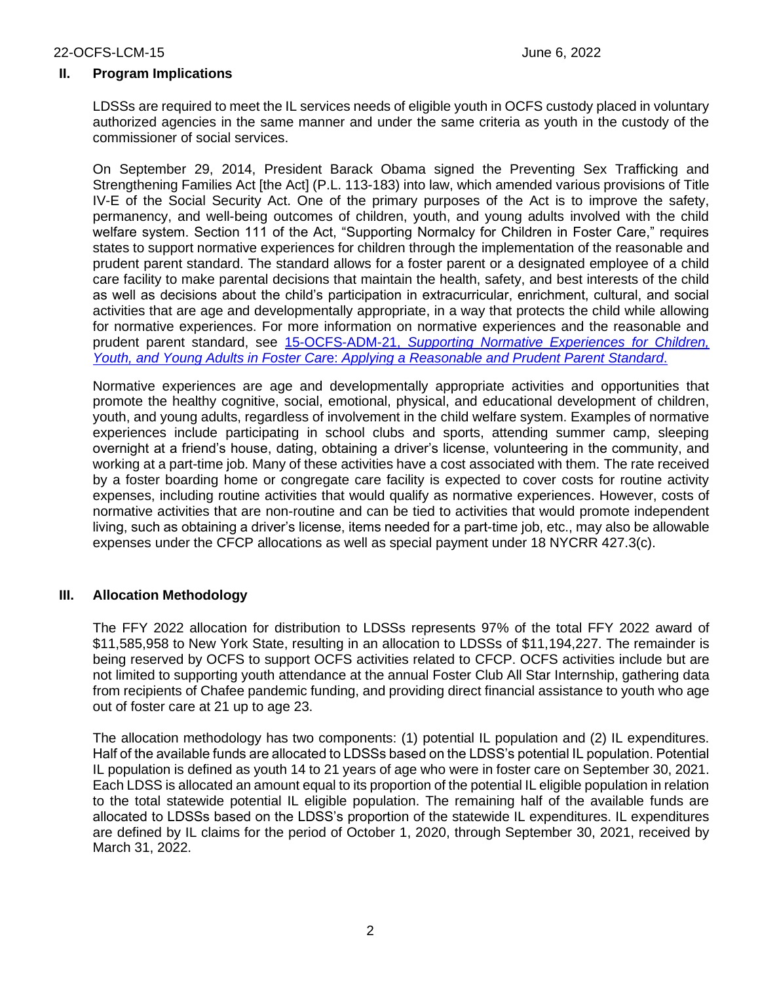### **II. Program Implications**

LDSSs are required to meet the IL services needs of eligible youth in OCFS custody placed in voluntary authorized agencies in the same manner and under the same criteria as youth in the custody of the commissioner of social services.

On September 29, 2014, President Barack Obama signed the Preventing Sex Trafficking and Strengthening Families Act [the Act] (P.L. 113-183) into law, which amended various provisions of Title IV-E of the Social Security Act. One of the primary purposes of the Act is to improve the safety, permanency, and well-being outcomes of children, youth, and young adults involved with the child welfare system. Section 111 of the Act, "Supporting Normalcy for Children in Foster Care," requires states to support normative experiences for children through the implementation of the reasonable and prudent parent standard. The standard allows for a foster parent or a designated employee of a child care facility to make parental decisions that maintain the health, safety, and best interests of the child as well as decisions about the child's participation in extracurricular, enrichment, cultural, and social activities that are age and developmentally appropriate, in a way that protects the child while allowing for normative experiences. For more information on normative experiences and the reasonable and prudent parent standard, see 15-OCFS-ADM-21, *[Supporting Normative Experiences for Children,](http://ocfs.ny.gov/main/policies/external/OCFS_2015/ADMs/15-OCFS-ADM-21%20%20Supporting%20Normative%20Experiences%20for%20Children,%20Youth,%20and%20Young%20Adults%20in%20Foster%20Care%20-%20Applying%20a%20Reasonable%20and%20Prudent%20Parent%20Standard.pdf)  Youth, and Young Adults in Foster Car*e: *[Applying a Reasonable and Prudent Parent Standard](http://ocfs.ny.gov/main/policies/external/OCFS_2015/ADMs/15-OCFS-ADM-21%20%20Supporting%20Normative%20Experiences%20for%20Children,%20Youth,%20and%20Young%20Adults%20in%20Foster%20Care%20-%20Applying%20a%20Reasonable%20and%20Prudent%20Parent%20Standard.pdf)*.

Normative experiences are age and developmentally appropriate activities and opportunities that promote the healthy cognitive, social, emotional, physical, and educational development of children, youth, and young adults, regardless of involvement in the child welfare system. Examples of normative experiences include participating in school clubs and sports, attending summer camp, sleeping overnight at a friend's house, dating, obtaining a driver's license, volunteering in the community, and working at a part-time job. Many of these activities have a cost associated with them. The rate received by a foster boarding home or congregate care facility is expected to cover costs for routine activity expenses, including routine activities that would qualify as normative experiences. However, costs of normative activities that are non-routine and can be tied to activities that would promote independent living, such as obtaining a driver's license, items needed for a part-time job, etc., may also be allowable expenses under the CFCP allocations as well as special payment under 18 NYCRR 427.3(c).

# **III. Allocation Methodology**

The FFY 2022 allocation for distribution to LDSSs represents 97% of the total FFY 2022 award of \$11,585,958 to New York State, resulting in an allocation to LDSSs of \$11,194,227. The remainder is being reserved by OCFS to support OCFS activities related to CFCP. OCFS activities include but are not limited to supporting youth attendance at the annual Foster Club All Star Internship, gathering data from recipients of Chafee pandemic funding, and providing direct financial assistance to youth who age out of foster care at 21 up to age 23.

The allocation methodology has two components: (1) potential IL population and (2) IL expenditures. Half of the available funds are allocated to LDSSs based on the LDSS's potential IL population. Potential IL population is defined as youth 14 to 21 years of age who were in foster care on September 30, 2021. Each LDSS is allocated an amount equal to its proportion of the potential IL eligible population in relation to the total statewide potential IL eligible population. The remaining half of the available funds are allocated to LDSSs based on the LDSS's proportion of the statewide IL expenditures. IL expenditures are defined by IL claims for the period of October 1, 2020, through September 30, 2021, received by March 31, 2022.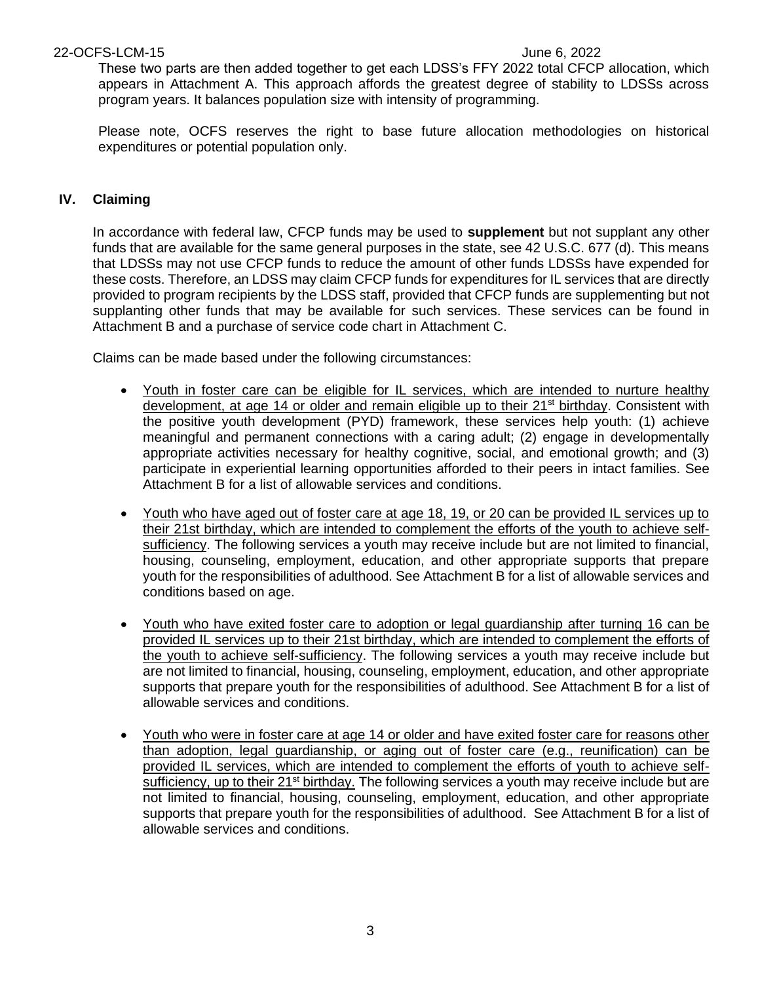These two parts are then added together to get each LDSS's FFY 2022 total CFCP allocation, which appears in Attachment A. This approach affords the greatest degree of stability to LDSSs across program years. It balances population size with intensity of programming.

Please note, OCFS reserves the right to base future allocation methodologies on historical expenditures or potential population only.

# **IV. Claiming**

In accordance with federal law, CFCP funds may be used to **supplement** but not supplant any other funds that are available for the same general purposes in the state, see 42 U.S.C. 677 (d). This means that LDSSs may not use CFCP funds to reduce the amount of other funds LDSSs have expended for these costs. Therefore, an LDSS may claim CFCP funds for expenditures for IL services that are directly provided to program recipients by the LDSS staff, provided that CFCP funds are supplementing but not supplanting other funds that may be available for such services. These services can be found in Attachment B and a purchase of service code chart in Attachment C.

Claims can be made based under the following circumstances:

- Youth in foster care can be eligible for IL services, which are intended to nurture healthy development, at age 14 or older and remain eligible up to their 21<sup>st</sup> birthday. Consistent with the positive youth development (PYD) framework, these services help youth: (1) achieve meaningful and permanent connections with a caring adult; (2) engage in developmentally appropriate activities necessary for healthy cognitive, social, and emotional growth; and (3) participate in experiential learning opportunities afforded to their peers in intact families. See Attachment B for a list of allowable services and conditions.
- Youth who have aged out of foster care at age 18, 19, or 20 can be provided IL services up to their 21st birthday, which are intended to complement the efforts of the youth to achieve selfsufficiency. The following services a youth may receive include but are not limited to financial, housing, counseling, employment, education, and other appropriate supports that prepare youth for the responsibilities of adulthood. See Attachment B for a list of allowable services and conditions based on age.
- Youth who have exited foster care to adoption or legal guardianship after turning 16 can be provided IL services up to their 21st birthday, which are intended to complement the efforts of the youth to achieve self-sufficiency. The following services a youth may receive include but are not limited to financial, housing, counseling, employment, education, and other appropriate supports that prepare youth for the responsibilities of adulthood. See Attachment B for a list of allowable services and conditions.
- Youth who were in foster care at age 14 or older and have exited foster care for reasons other than adoption, legal guardianship, or aging out of foster care (e.g., reunification) can be provided IL services, which are intended to complement the efforts of youth to achieve selfsufficiency, up to their  $21^{st}$  birthday. The following services a youth may receive include but are not limited to financial, housing, counseling, employment, education, and other appropriate supports that prepare youth for the responsibilities of adulthood. See Attachment B for a list of allowable services and conditions.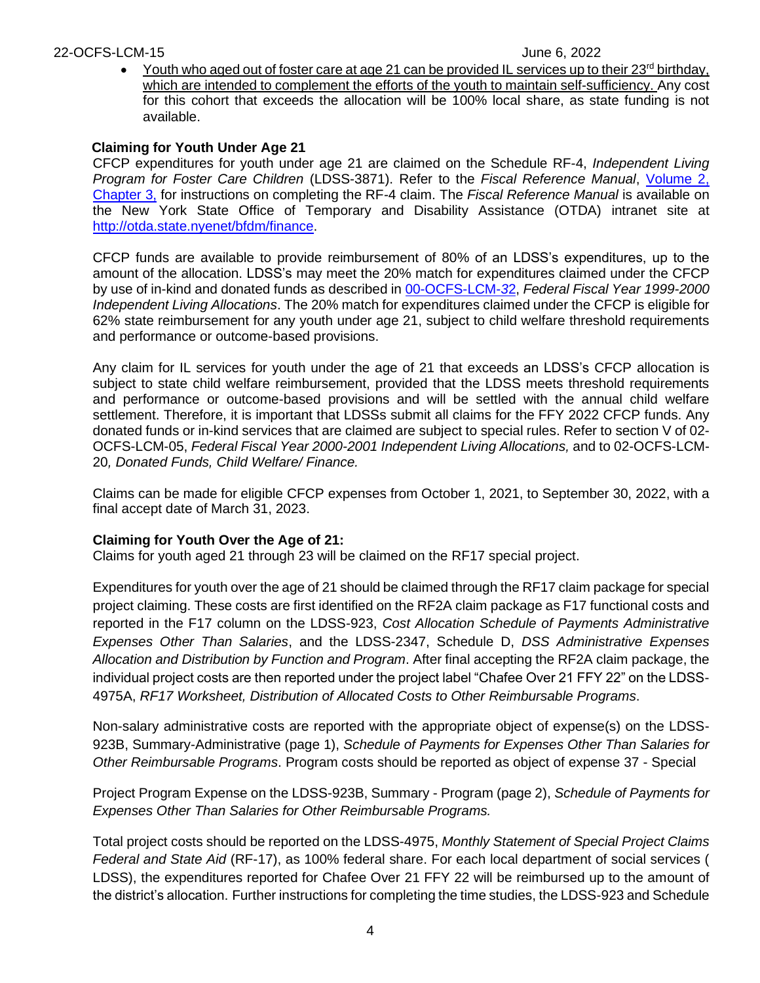• Youth who aged out of foster care at age 21 can be provided IL services up to their 23<sup>rd</sup> birthday, which are intended to complement the efforts of the youth to maintain self-sufficiency. Any cost for this cohort that exceeds the allocation will be 100% local share, as state funding is not available.

# **Claiming for Youth Under Age 21**

CFCP expenditures for youth under age 21 are claimed on the Schedule RF-4, *Independent Living Program for Foster Care Children* (LDSS-3871). Refer to the *Fiscal Reference Manual*, [Volume 2,](http://otda.state.nyenet/bfdm/finance/FRM_Vol2_Manual.asp)  [Chapter 3,](http://otda.state.nyenet/bfdm/finance/FRM_Vol2_Manual.asp) for instructions on completing the RF-4 claim. The *Fiscal Reference Manual* is available on the New York State Office of Temporary and Disability Assistance (OTDA) intranet site at [http://otda.state.nyenet/bfdm/finance.](http://otda.state.nyenet/bfdm/finance)

CFCP funds are available to provide reimbursement of 80% of an LDSS's expenditures, up to the amount of the allocation. LDSS's may meet the 20% match for expenditures claimed under the CFCP by use of in-kind and donated funds as described in [00-OCFS-LCM-](http://ocfs.state.nyenet/policies/external/OCFS_2000/LCMs/00-OCFS-LCM-32%20Federal%20Fiscal%20Year%201999-2000%20Independent%20Living%20Allocations.pdf)*3*2, *Federal Fiscal Year 1999-2000 Independent Living Allocations*. The 20% match for expenditures claimed under the CFCP is eligible for 62% state reimbursement for any youth under age 21, subject to child welfare threshold requirements and performance or outcome-based provisions.

Any claim for IL services for youth under the age of 21 that exceeds an LDSS's CFCP allocation is subject to state child welfare reimbursement, provided that the LDSS meets threshold requirements and performance or outcome-based provisions and will be settled with the annual child welfare settlement. Therefore, it is important that LDSSs submit all claims for the FFY 2022 CFCP funds. Any donated funds or in-kind services that are claimed are subject to special rules. Refer to section V of 02- OCFS-LCM-05, *Federal Fiscal Year 2000-2001 Independent Living Allocations,* and to 02-OCFS-LCM-20*, Donated Funds, Child Welfare/ Finance.*

Claims can be made for eligible CFCP expenses from October 1, 2021, to September 30, 2022, with a final accept date of March 31, 2023.

# **Claiming for Youth Over the Age of 21:**

Claims for youth aged 21 through 23 will be claimed on the RF17 special project.

Expenditures for youth over the age of 21 should be claimed through the RF17 claim package for special project claiming. These costs are first identified on the RF2A claim package as F17 functional costs and reported in the F17 column on the LDSS-923, *Cost Allocation Schedule of Payments Administrative Expenses Other Than Salaries*, and the LDSS-2347, Schedule D, *DSS Administrative Expenses Allocation and Distribution by Function and Program*. After final accepting the RF2A claim package, the individual project costs are then reported under the project label "Chafee Over 21 FFY 22" on the LDSS-4975A, *RF17 Worksheet, Distribution of Allocated Costs to Other Reimbursable Programs*.

Non-salary administrative costs are reported with the appropriate object of expense(s) on the LDSS-923B, Summary-Administrative (page 1), *Schedule of Payments for Expenses Other Than Salaries for Other Reimbursable Programs*. Program costs should be reported as object of expense 37 - Special

Project Program Expense on the LDSS-923B, Summary - Program (page 2), *Schedule of Payments for Expenses Other Than Salaries for Other Reimbursable Programs.* 

Total project costs should be reported on the LDSS-4975, *Monthly Statement of Special Project Claims Federal and State Aid* (RF-17), as 100% federal share. For each local department of social services ( LDSS), the expenditures reported for Chafee Over 21 FFY 22 will be reimbursed up to the amount of the district's allocation. Further instructions for completing the time studies, the LDSS-923 and Schedule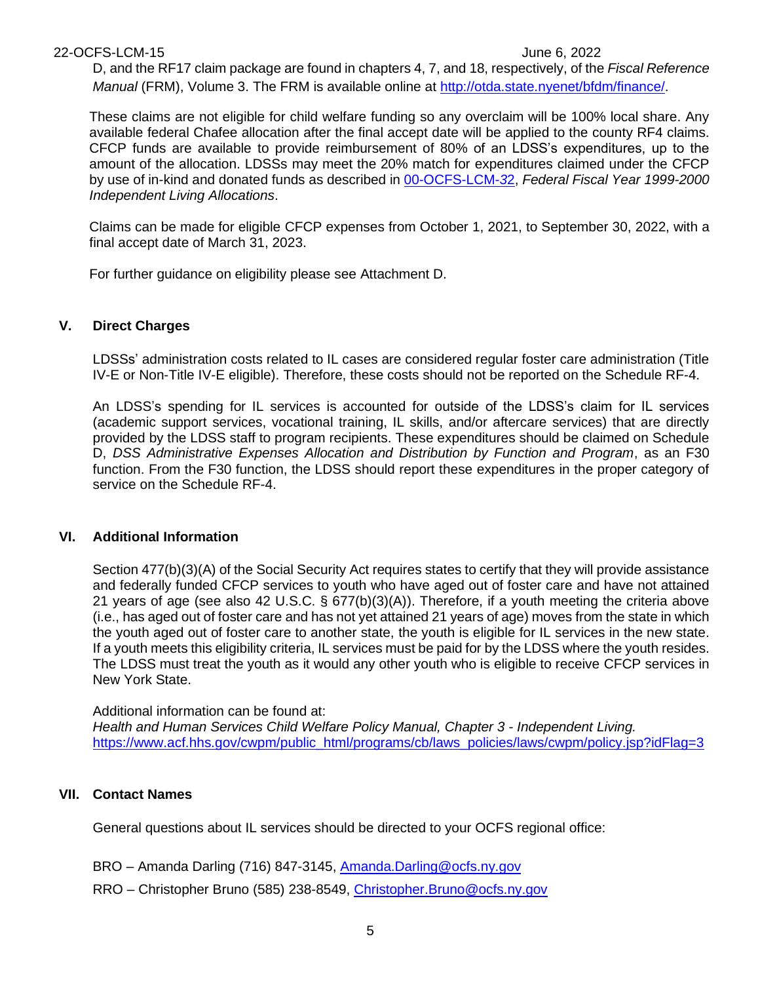#### 22-OCFS-LCM-15 June 6, 2022

D, and the RF17 claim package are found in chapters 4, 7, and 18, respectively, of the *Fiscal Reference Manual* (FRM), Volume 3. The FRM is available online at [http://otda.state.nyenet/bfdm/finance/.](https://gcc02.safelinks.protection.outlook.com/?url=http%3A%2F%2Fotda.state.nyenet%2Fbfdm%2Ffinance%2F&data=04%7C01%7CJames.Sutton%40ocfs.ny.gov%7C1b023a3e498e4785550f08d9df643582%7Cf46cb8ea79004d108ceb80e8c1c81ee7%7C0%7C0%7C637786443746399822%7CUnknown%7CTWFpbGZsb3d8eyJWIjoiMC4wLjAwMDAiLCJQIjoiV2luMzIiLCJBTiI6Ik1haWwiLCJXVCI6Mn0%3D%7C3000&sdata=5vs5j7wDyZv1YnkgWrZMhWehSsfq%2FvREsoddVVy7nK8%3D&reserved=0)

These claims are not eligible for child welfare funding so any overclaim will be 100% local share. Any available federal Chafee allocation after the final accept date will be applied to the county RF4 claims. CFCP funds are available to provide reimbursement of 80% of an LDSS's expenditures, up to the amount of the allocation. LDSSs may meet the 20% match for expenditures claimed under the CFCP by use of in-kind and donated funds as described in [00-OCFS-LCM-](http://ocfs.state.nyenet/policies/external/OCFS_2000/LCMs/00-OCFS-LCM-32%20Federal%20Fiscal%20Year%201999-2000%20Independent%20Living%20Allocations.pdf)*3*2, *Federal Fiscal Year 1999-2000 Independent Living Allocations*.

Claims can be made for eligible CFCP expenses from October 1, 2021, to September 30, 2022, with a final accept date of March 31, 2023.

For further guidance on eligibility please see Attachment D.

# **V. Direct Charges**

LDSSs' administration costs related to IL cases are considered regular foster care administration (Title IV-E or Non-Title IV-E eligible). Therefore, these costs should not be reported on the Schedule RF-4.

An LDSS's spending for IL services is accounted for outside of the LDSS's claim for IL services (academic support services, vocational training, IL skills, and/or aftercare services) that are directly provided by the LDSS staff to program recipients. These expenditures should be claimed on Schedule D, *DSS Administrative Expenses Allocation and Distribution by Function and Program*, as an F30 function. From the F30 function, the LDSS should report these expenditures in the proper category of service on the Schedule RF-4.

# **VI. Additional Information**

Section 477(b)(3)(A) of the Social Security Act requires states to certify that they will provide assistance and federally funded CFCP services to youth who have aged out of foster care and have not attained 21 years of age (see also 42 U.S.C. § 677(b)(3)(A)). Therefore, if a youth meeting the criteria above (i.e., has aged out of foster care and has not yet attained 21 years of age) moves from the state in which the youth aged out of foster care to another state, the youth is eligible for IL services in the new state. If a youth meets this eligibility criteria, IL services must be paid for by the LDSS where the youth resides. The LDSS must treat the youth as it would any other youth who is eligible to receive CFCP services in New York State.

Additional information can be found at: *Health and Human Services Child Welfare Policy Manual, Chapter 3 - Independent Living.* [https://www.acf.hhs.gov/cwpm/public\\_html/programs/cb/laws\\_policies/laws/cwpm/policy.jsp?idFlag=3](https://www.acf.hhs.gov/cwpm/public_html/programs/cb/laws_policies/laws/cwpm/policy.jsp?idFlag=3)

# **VII. Contact Names**

General questions about IL services should be directed to your OCFS regional office:

- BRO Amanda Darling (716) 847-3145, Amanda.Darling@ocfs.nv.gov
- RRO Christopher Bruno (585) 238-8549, [Christopher.Bruno@ocfs.ny.gov](mailto:Christopher.Bruno@ocfs.ny.gov)